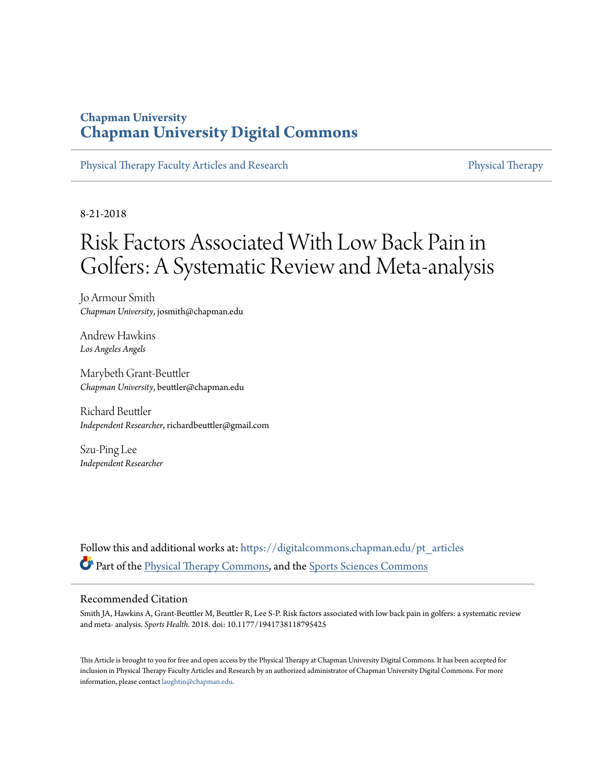### **Chapman University [Chapman University Digital Commons](https://digitalcommons.chapman.edu?utm_source=digitalcommons.chapman.edu%2Fpt_articles%2F91&utm_medium=PDF&utm_campaign=PDFCoverPages)**

[Physical Therapy Faculty Articles and Research](https://digitalcommons.chapman.edu/pt_articles?utm_source=digitalcommons.chapman.edu%2Fpt_articles%2F91&utm_medium=PDF&utm_campaign=PDFCoverPages) [Physical Therapy](https://digitalcommons.chapman.edu/physicaltherapy?utm_source=digitalcommons.chapman.edu%2Fpt_articles%2F91&utm_medium=PDF&utm_campaign=PDFCoverPages)

8-21-2018

# Risk Factors Associated With Low Back Pain in Golfers: A Systematic Review and Meta-analysis

Jo Armour Smith *Chapman University*, josmith@chapman.edu

Andrew Hawkins *Los Angeles Angels*

Marybeth Grant-Beuttler *Chapman University*, beuttler@chapman.edu

Richard Beuttler *Independent Researcher*, richardbeuttler@gmail.com

Szu-Ping Lee *Independent Researcher*

Follow this and additional works at: [https://digitalcommons.chapman.edu/pt\\_articles](https://digitalcommons.chapman.edu/pt_articles?utm_source=digitalcommons.chapman.edu%2Fpt_articles%2F91&utm_medium=PDF&utm_campaign=PDFCoverPages) Part of the [Physical Therapy Commons,](http://network.bepress.com/hgg/discipline/754?utm_source=digitalcommons.chapman.edu%2Fpt_articles%2F91&utm_medium=PDF&utm_campaign=PDFCoverPages) and the [Sports Sciences Commons](http://network.bepress.com/hgg/discipline/759?utm_source=digitalcommons.chapman.edu%2Fpt_articles%2F91&utm_medium=PDF&utm_campaign=PDFCoverPages)

#### Recommended Citation

Smith JA, Hawkins A, Grant-Beuttler M, Beuttler R, Lee S-P. Risk factors associated with low back pain in golfers: a systematic review and meta- analysis. *Sports Health*. 2018. doi: 10.1177/1941738118795425

This Article is brought to you for free and open access by the Physical Therapy at Chapman University Digital Commons. It has been accepted for inclusion in Physical Therapy Faculty Articles and Research by an authorized administrator of Chapman University Digital Commons. For more information, please contact [laughtin@chapman.edu](mailto:laughtin@chapman.edu).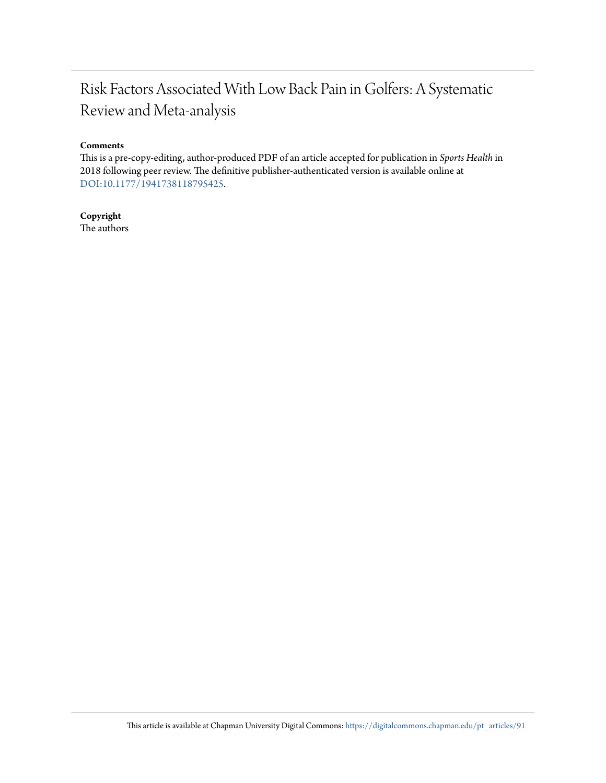## Risk Factors Associated With Low Back Pain in Golfers: A Systematic Review and Meta-analysis

#### **Comments**

This is a pre-copy-editing, author-produced PDF of an article accepted for publication in *Sports Health* in 2018 following peer review. The definitive publisher-authenticated version is available online at [DOI:10.1177/1941738118795425](https://doi.org/10.1177/1941738118795425).

**Copyright** The authors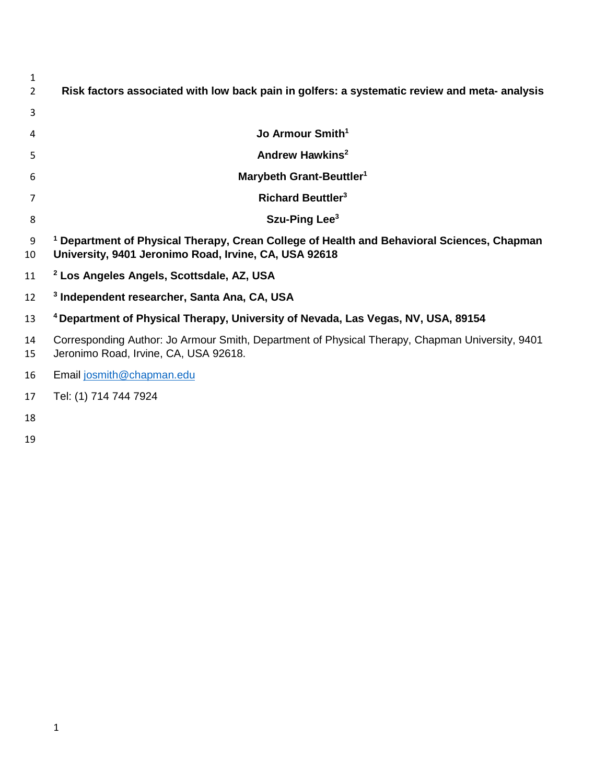| 1<br>$\overline{2}$ | Risk factors associated with low back pain in golfers: a systematic review and meta- analysis                                                          |
|---------------------|--------------------------------------------------------------------------------------------------------------------------------------------------------|
| 3                   |                                                                                                                                                        |
| 4                   | Jo Armour Smith <sup>1</sup>                                                                                                                           |
| 5                   | Andrew Hawkins <sup>2</sup>                                                                                                                            |
| 6                   | Marybeth Grant-Beuttler <sup>1</sup>                                                                                                                   |
| 7                   | <b>Richard Beuttler<sup>3</sup></b>                                                                                                                    |
| 8                   | Szu-Ping Lee <sup>3</sup>                                                                                                                              |
| 9<br>10             | $^1$ Department of Physical Therapy, Crean College of Health and Behavioral Sciences, Chapman<br>University, 9401 Jeronimo Road, Irvine, CA, USA 92618 |
| 11                  | <sup>2</sup> Los Angeles Angels, Scottsdale, AZ, USA                                                                                                   |
| 12                  | <sup>3</sup> Independent researcher, Santa Ana, CA, USA                                                                                                |
| 13                  | <sup>4</sup> Department of Physical Therapy, University of Nevada, Las Vegas, NV, USA, 89154                                                           |
| 14<br>15            | Corresponding Author: Jo Armour Smith, Department of Physical Therapy, Chapman University, 9401<br>Jeronimo Road, Irvine, CA, USA 92618.               |
| 16                  | Email josmith@chapman.edu                                                                                                                              |
| $\rightarrow$       | $T - L$ (A) $T A$ $T A$ $T A$ $T A$                                                                                                                    |

- Tel: (1) 714 744 7924
- 
-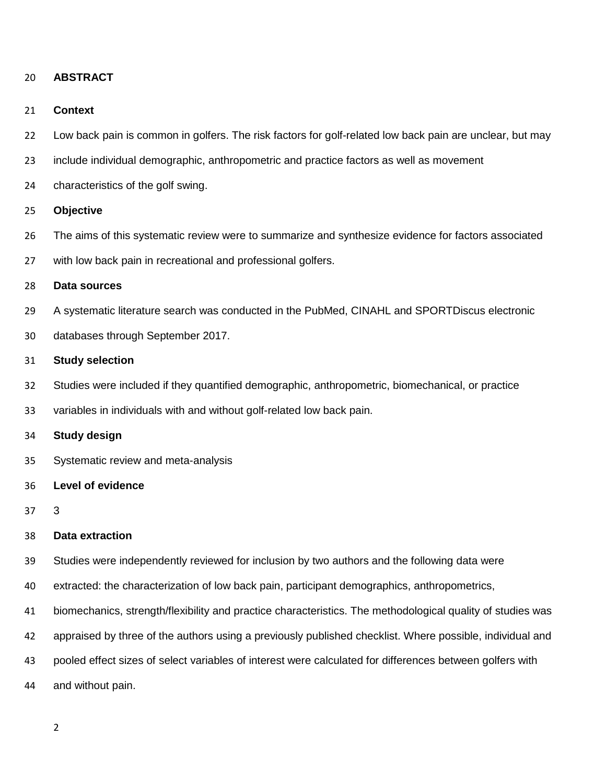#### **ABSTRACT**

#### **Context**

- Low back pain is common in golfers. The risk factors for golf-related low back pain are unclear, but may
- include individual demographic, anthropometric and practice factors as well as movement
- characteristics of the golf swing.

#### **Objective**

- The aims of this systematic review were to summarize and synthesize evidence for factors associated
- with low back pain in recreational and professional golfers.

#### **Data sources**

- A systematic literature search was conducted in the PubMed, CINAHL and SPORTDiscus electronic
- databases through September 2017.

#### **Study selection**

- Studies were included if they quantified demographic, anthropometric, biomechanical, or practice
- variables in individuals with and without golf-related low back pain.

#### **Study design**

- Systematic review and meta-analysis
- **Level of evidence**
- 3

#### **Data extraction**

- Studies were independently reviewed for inclusion by two authors and the following data were
- extracted: the characterization of low back pain, participant demographics, anthropometrics,
- biomechanics, strength/flexibility and practice characteristics. The methodological quality of studies was
- appraised by three of the authors using a previously published checklist. Where possible, individual and
- pooled effect sizes of select variables of interest were calculated for differences between golfers with
- and without pain.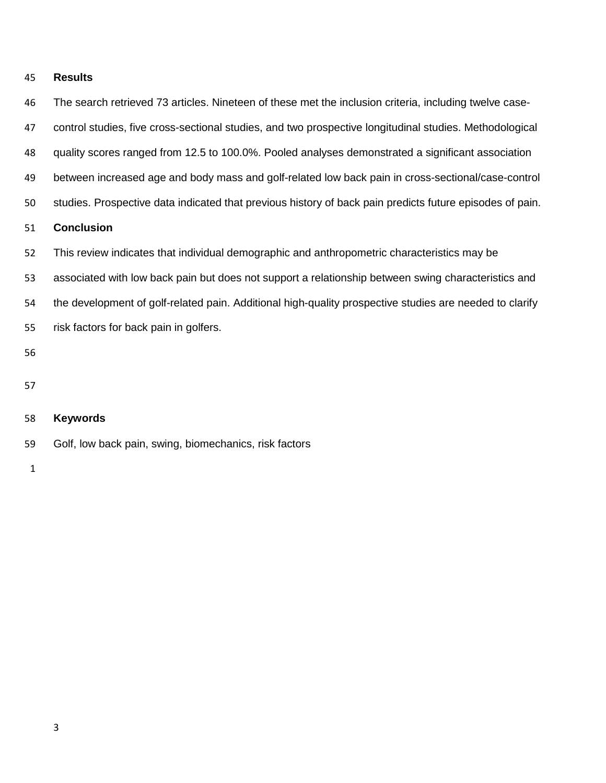#### **Results**

| 46 | The search retrieved 73 articles. Nineteen of these met the inclusion criteria, including twelve case-   |
|----|----------------------------------------------------------------------------------------------------------|
| 47 | control studies, five cross-sectional studies, and two prospective longitudinal studies. Methodological  |
| 48 | quality scores ranged from 12.5 to 100.0%. Pooled analyses demonstrated a significant association        |
| 49 | between increased age and body mass and golf-related low back pain in cross-sectional/case-control       |
| 50 | studies. Prospective data indicated that previous history of back pain predicts future episodes of pain. |
| 51 | <b>Conclusion</b>                                                                                        |
| 52 | This review indicates that individual demographic and anthropometric characteristics may be              |
| 53 | associated with low back pain but does not support a relationship between swing characteristics and      |
| 54 | the development of golf-related pain. Additional high-quality prospective studies are needed to clarify  |
| 55 | risk factors for back pain in golfers.                                                                   |
| 56 |                                                                                                          |
| 57 |                                                                                                          |
| 58 | <b>Keywords</b>                                                                                          |
| 59 | Golf, low back pain, swing, biomechanics, risk factors                                                   |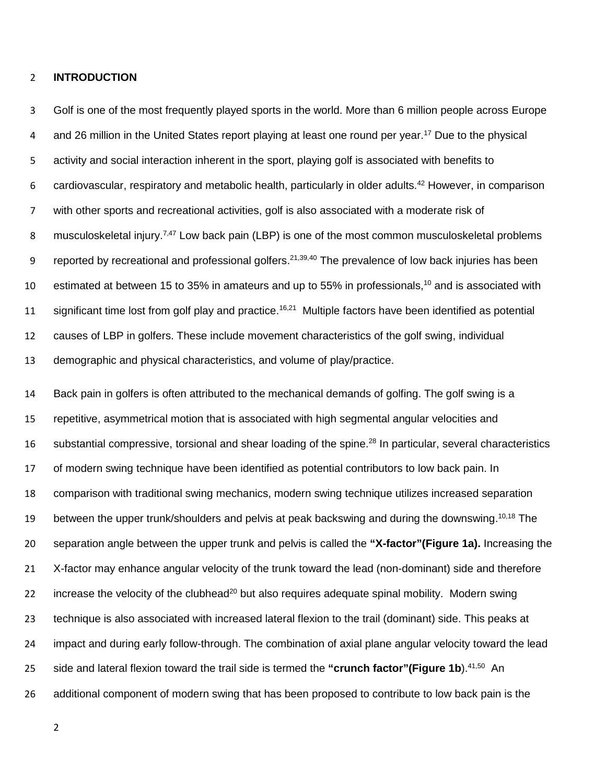#### **INTRODUCTION**

 Golf is one of the most frequently played sports in the world. More than 6 million people across Europe and 26 million in the United States report playing at least one round per year.<sup>17</sup> Due to the physical activity and social interaction inherent in the sport, playing golf is associated with benefits to 6 cardiovascular, respiratory and metabolic health, particularly in older adults. However, in comparison with other sports and recreational activities, golf is also associated with a moderate risk of 8 musculoskeletal injury.<sup>7,47</sup> Low back pain (LBP) is one of the most common musculoskeletal problems 9 reported by recreational and professional golfers.<sup>21,39,40</sup> The prevalence of low back injuries has been 10 estimated at between 15 to 35% in amateurs and up to 55% in professionals,<sup>10</sup> and is associated with 11 significant time lost from golf play and practice.<sup>16,21</sup> Multiple factors have been identified as potential causes of LBP in golfers. These include movement characteristics of the golf swing, individual demographic and physical characteristics, and volume of play/practice.

 Back pain in golfers is often attributed to the mechanical demands of golfing. The golf swing is a repetitive, asymmetrical motion that is associated with high segmental angular velocities and 16 substantial compressive, torsional and shear loading of the spine.<sup>28</sup> In particular, several characteristics of modern swing technique have been identified as potential contributors to low back pain. In comparison with traditional swing mechanics, modern swing technique utilizes increased separation 19 between the upper trunk/shoulders and pelvis at peak backswing and during the downswing.<sup>10,18</sup> The separation angle between the upper trunk and pelvis is called the **"X-factor"(Figure 1a).** Increasing the X-factor may enhance angular velocity of the trunk toward the lead (non-dominant) side and therefore 22 increase the velocity of the clubhead<sup>20</sup> but also requires adequate spinal mobility. Modern swing technique is also associated with increased lateral flexion to the trail (dominant) side. This peaks at impact and during early follow-through. The combination of axial plane angular velocity toward the lead 25 side and lateral flexion toward the trail side is termed the "crunch factor"(Figure 1b).<sup>41,50</sup> An additional component of modern swing that has been proposed to contribute to low back pain is the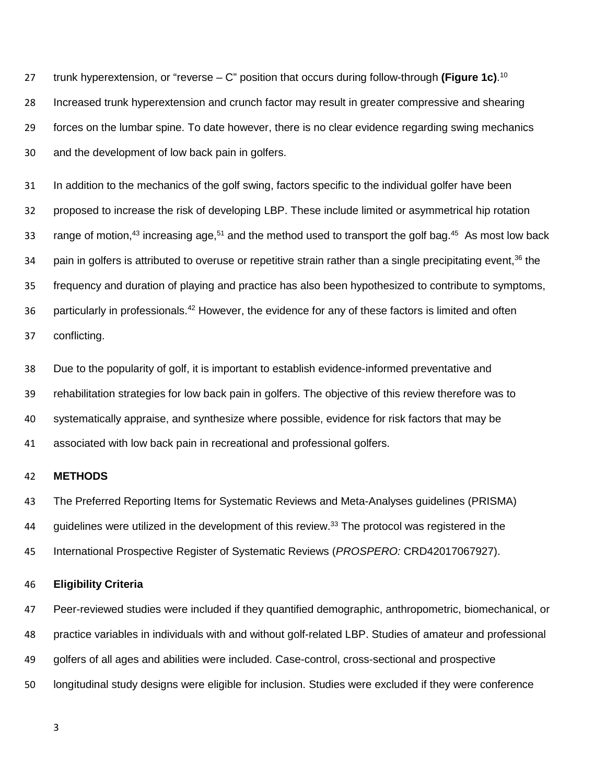trunk hyperextension, or "reverse – C" position that occurs during follow-through **(Figure 1c)**. <sup>10</sup> Increased trunk hyperextension and crunch factor may result in greater compressive and shearing forces on the lumbar spine. To date however, there is no clear evidence regarding swing mechanics and the development of low back pain in golfers.

 In addition to the mechanics of the golf swing, factors specific to the individual golfer have been proposed to increase the risk of developing LBP. These include limited or asymmetrical hip rotation 33 range of motion,<sup>43</sup> increasing age,<sup>51</sup> and the method used to transport the golf bag.<sup>45</sup> As most low back 34 pain in golfers is attributed to overuse or repetitive strain rather than a single precipitating event, the frequency and duration of playing and practice has also been hypothesized to contribute to symptoms, 36 particularly in professionals.<sup>42</sup> However, the evidence for any of these factors is limited and often conflicting.

 Due to the popularity of golf, it is important to establish evidence-informed preventative and rehabilitation strategies for low back pain in golfers. The objective of this review therefore was to systematically appraise, and synthesize where possible, evidence for risk factors that may be associated with low back pain in recreational and professional golfers.

#### **METHODS**

 The Preferred Reporting Items for Systematic Reviews and Meta-Analyses guidelines (PRISMA) 44 guidelines were utilized in the development of this review.<sup>33</sup> The protocol was registered in the International Prospective Register of Systematic Reviews (*PROSPERO:* CRD42017067927).

#### **Eligibility Criteria**

 Peer-reviewed studies were included if they quantified demographic, anthropometric, biomechanical, or practice variables in individuals with and without golf-related LBP. Studies of amateur and professional golfers of all ages and abilities were included. Case-control, cross-sectional and prospective longitudinal study designs were eligible for inclusion. Studies were excluded if they were conference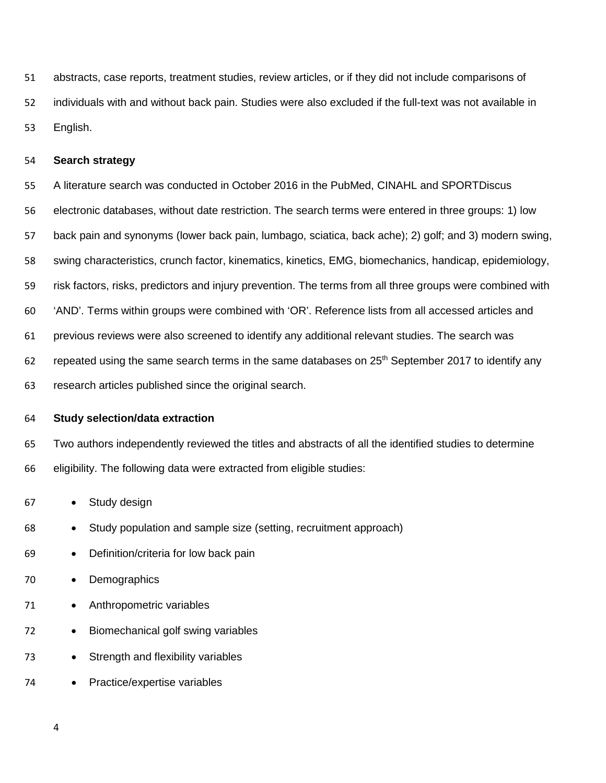abstracts, case reports, treatment studies, review articles, or if they did not include comparisons of individuals with and without back pain. Studies were also excluded if the full-text was not available in English.

#### **Search strategy**

A literature search was conducted in October 2016 in the PubMed, CINAHL and SPORTDiscus

electronic databases, without date restriction. The search terms were entered in three groups: 1) low

back pain and synonyms (lower back pain, lumbago, sciatica, back ache); 2) golf; and 3) modern swing,

swing characteristics, crunch factor, kinematics, kinetics, EMG, biomechanics, handicap, epidemiology,

risk factors, risks, predictors and injury prevention. The terms from all three groups were combined with

'AND'. Terms within groups were combined with 'OR'. Reference lists from all accessed articles and

previous reviews were also screened to identify any additional relevant studies. The search was

62 repeated using the same search terms in the same databases on  $25<sup>th</sup>$  September 2017 to identify any

research articles published since the original search.

#### **Study selection/data extraction**

 Two authors independently reviewed the titles and abstracts of all the identified studies to determine eligibility. The following data were extracted from eligible studies:

- Study design
- Study population and sample size (setting, recruitment approach)
- Definition/criteria for low back pain

#### • Demographics

- Anthropometric variables
- Biomechanical golf swing variables
- Strength and flexibility variables
- Practice/expertise variables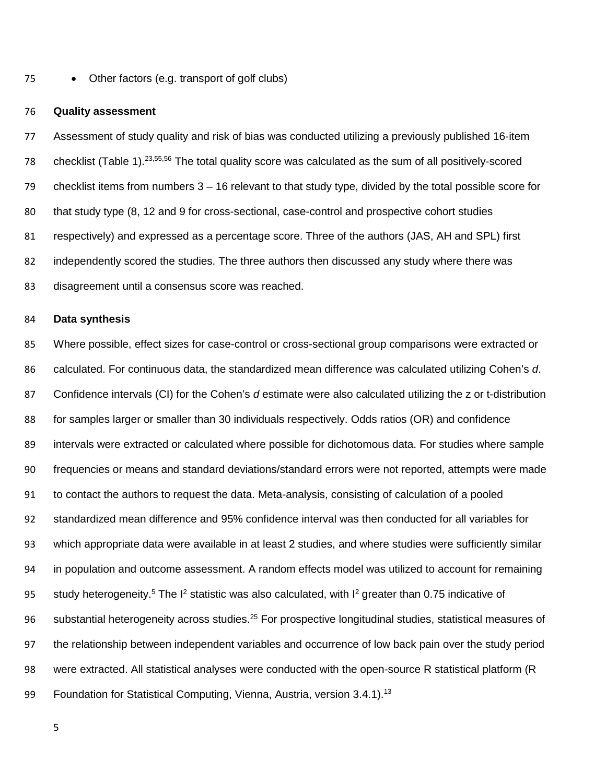• Other factors (e.g. transport of golf clubs)

#### **Quality assessment**

 Assessment of study quality and risk of bias was conducted utilizing a previously published 16-item 78 checklist (Table 1).<sup>23,55,56</sup> The total quality score was calculated as the sum of all positively-scored checklist items from numbers 3 – 16 relevant to that study type, divided by the total possible score for that study type (8, 12 and 9 for cross-sectional, case-control and prospective cohort studies respectively) and expressed as a percentage score. Three of the authors (JAS, AH and SPL) first independently scored the studies. The three authors then discussed any study where there was disagreement until a consensus score was reached.

#### **Data synthesis**

 Where possible, effect sizes for case-control or cross-sectional group comparisons were extracted or calculated. For continuous data, the standardized mean difference was calculated utilizing Cohen's *d*. Confidence intervals (CI) for the Cohen's *d* estimate were also calculated utilizing the z or t-distribution for samples larger or smaller than 30 individuals respectively. Odds ratios (OR) and confidence intervals were extracted or calculated where possible for dichotomous data. For studies where sample frequencies or means and standard deviations/standard errors were not reported, attempts were made to contact the authors to request the data. Meta-analysis, consisting of calculation of a pooled standardized mean difference and 95% confidence interval was then conducted for all variables for which appropriate data were available in at least 2 studies, and where studies were sufficiently similar in population and outcome assessment. A random effects model was utilized to account for remaining 95 study heterogeneity.<sup>5</sup> The I<sup>2</sup> statistic was also calculated, with I<sup>2</sup> greater than 0.75 indicative of 96 substantial heterogeneity across studies.<sup>25</sup> For prospective longitudinal studies, statistical measures of the relationship between independent variables and occurrence of low back pain over the study period were extracted. All statistical analyses were conducted with the open-source R statistical platform (R 99 Foundation for Statistical Computing, Vienna, Austria, version 3.4.1).<sup>13</sup>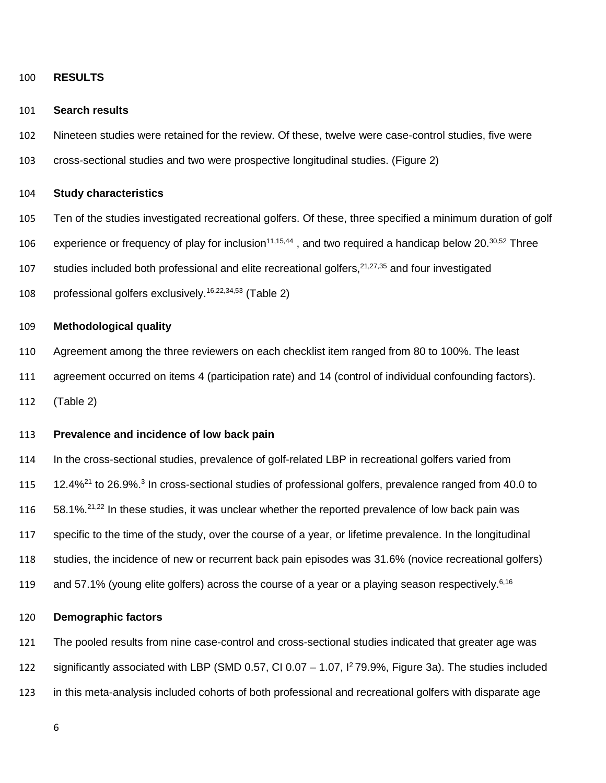#### **RESULTS**

#### **Search results**

- Nineteen studies were retained for the review. Of these, twelve were case-control studies, five were
- cross-sectional studies and two were prospective longitudinal studies. (Figure 2)

#### **Study characteristics**

- Ten of the studies investigated recreational golfers. Of these, three specified a minimum duration of golf
- 106 experience or frequency of play for inclusion<sup>11,15,44</sup>, and two required a handicap below 20.<sup>30,52</sup> Three
- 107 studies included both professional and elite recreational golfers,  $21,27,35$  and four investigated
- 108 professional golfers exclusively.<sup>16,22,34,53</sup> (Table 2)

#### **Methodological quality**

- Agreement among the three reviewers on each checklist item ranged from 80 to 100%. The least
- agreement occurred on items 4 (participation rate) and 14 (control of individual confounding factors).

(Table 2)

#### **Prevalence and incidence of low back pain**

 In the cross-sectional studies, prevalence of golf-related LBP in recreational golfers varied from 115 12.4%<sup>21</sup> to 26.9%.<sup>3</sup> In cross-sectional studies of professional golfers, prevalence ranged from 40.0 to  $58.1\%^{21,22}$  In these studies, it was unclear whether the reported prevalence of low back pain was specific to the time of the study, over the course of a year, or lifetime prevalence. In the longitudinal studies, the incidence of new or recurrent back pain episodes was 31.6% (novice recreational golfers) and 57.1% (young elite golfers) across the course of a year or a playing season respectively.<sup>6,16</sup>

#### **Demographic factors**

 The pooled results from nine case-control and cross-sectional studies indicated that greater age was 122 significantly associated with LBP (SMD 0.57, CI 0.07 – 1.07, <sup>12</sup> 79.9%, Figure 3a). The studies included in this meta-analysis included cohorts of both professional and recreational golfers with disparate age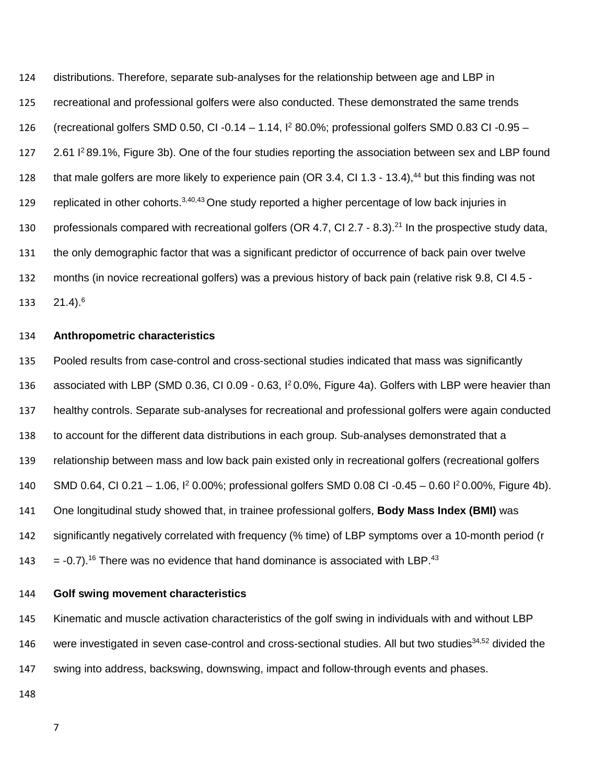distributions. Therefore, separate sub-analyses for the relationship between age and LBP in recreational and professional golfers were also conducted. These demonstrated the same trends 126 (recreational golfers SMD 0.50, CI -0.14 – 1.14,  $I^2$  80.0%; professional golfers SMD 0.83 CI -0.95 – 127 2.61 <sup>2</sup>89.1%, Figure 3b). One of the four studies reporting the association between sex and LBP found 128 that male golfers are more likely to experience pain (OR 3.4, CI 1.3 - 13.4),<sup>44</sup> but this finding was not 129 replicated in other cohorts.  $3,40,43$  One study reported a higher percentage of low back injuries in 130 professionals compared with recreational golfers (OR 4.7, CI 2.7 - 8.3).<sup>21</sup> In the prospective study data, the only demographic factor that was a significant predictor of occurrence of back pain over twelve months (in novice recreational golfers) was a previous history of back pain (relative risk 9.8, CI 4.5 - 133 21.4).<sup>6</sup>

#### **Anthropometric characteristics**

 Pooled results from case-control and cross-sectional studies indicated that mass was significantly 136 associated with LBP (SMD 0.36, CI 0.09 - 0.63, 1<sup>2</sup> 0.0%, Figure 4a). Golfers with LBP were heavier than healthy controls. Separate sub-analyses for recreational and professional golfers were again conducted to account for the different data distributions in each group. Sub-analyses demonstrated that a relationship between mass and low back pain existed only in recreational golfers (recreational golfers 140 SMD 0.64, CI 0.21 – 1.06, <sup>12</sup> 0.00%; professional golfers SMD 0.08 CI -0.45 – 0.60 <sup>12</sup> 0.00%, Figure 4b). One longitudinal study showed that, in trainee professional golfers, **Body Mass Index (BMI)** was significantly negatively correlated with frequency (% time) of LBP symptoms over a 10-month period (r  $= -0.7$ ).<sup>16</sup> There was no evidence that hand dominance is associated with LBP.<sup>43</sup>

#### **Golf swing movement characteristics**

 Kinematic and muscle activation characteristics of the golf swing in individuals with and without LBP 146 were investigated in seven case-control and cross-sectional studies. All but two studies<sup>34,52</sup> divided the swing into address, backswing, downswing, impact and follow-through events and phases.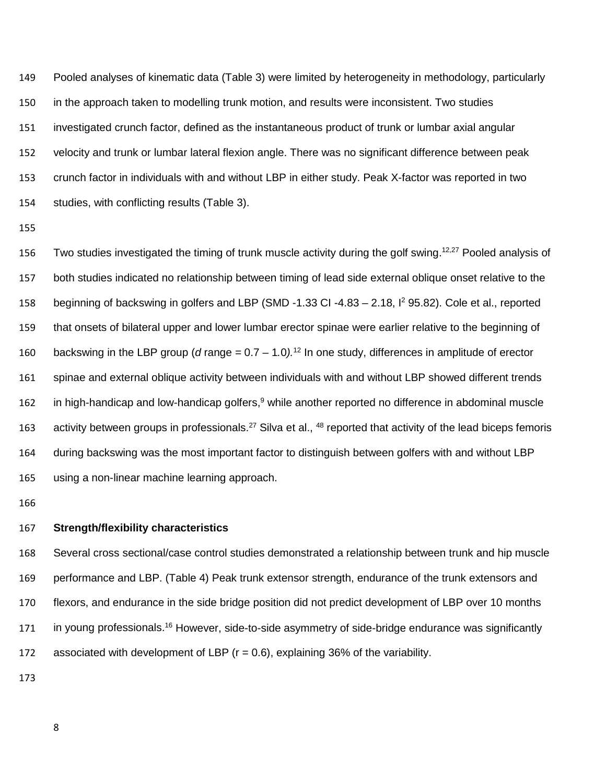Pooled analyses of kinematic data (Table 3) were limited by heterogeneity in methodology, particularly in the approach taken to modelling trunk motion, and results were inconsistent. Two studies investigated crunch factor, defined as the instantaneous product of trunk or lumbar axial angular velocity and trunk or lumbar lateral flexion angle. There was no significant difference between peak crunch factor in individuals with and without LBP in either study. Peak X-factor was reported in two studies, with conflicting results (Table 3).

156 Two studies investigated the timing of trunk muscle activity during the golf swing.<sup>12,27</sup> Pooled analysis of both studies indicated no relationship between timing of lead side external oblique onset relative to the 158 beginning of backswing in golfers and LBP (SMD -1.33 CI -4.83 – 2.18, I<sup>2</sup> 95.82). Cole et al., reported that onsets of bilateral upper and lower lumbar erector spinae were earlier relative to the beginning of 160 backswing in the LBP group (*d* range  $= 0.7 - 1.0$ )<sup>12</sup> In one study, differences in amplitude of erector spinae and external oblique activity between individuals with and without LBP showed different trends 162 in high-handicap and low-handicap golfers, while another reported no difference in abdominal muscle 163 activity between groups in professionals.<sup>27</sup> Silva et al.,  $48$  reported that activity of the lead biceps femoris during backswing was the most important factor to distinguish between golfers with and without LBP using a non-linear machine learning approach.

#### **Strength/flexibility characteristics**

 Several cross sectional/case control studies demonstrated a relationship between trunk and hip muscle performance and LBP. (Table 4) Peak trunk extensor strength, endurance of the trunk extensors and flexors, and endurance in the side bridge position did not predict development of LBP over 10 months 171 in young professionals.<sup>16</sup> However, side-to-side asymmetry of side-bridge endurance was significantly 172 associated with development of LBP ( $r = 0.6$ ), explaining 36% of the variability.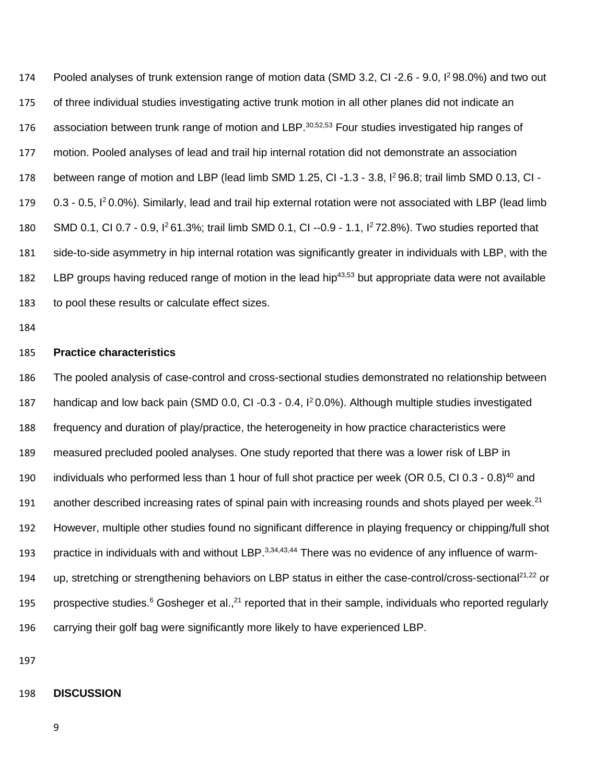174 Pooled analyses of trunk extension range of motion data (SMD 3.2, CI-2.6 - 9.0, I<sup>2</sup> 98.0%) and two out 175 of three individual studies investigating active trunk motion in all other planes did not indicate an 176 association between trunk range of motion and LBP.<sup>30,52,53</sup> Four studies investigated hip ranges of 177 motion. Pooled analyses of lead and trail hip internal rotation did not demonstrate an association 178 between range of motion and LBP (lead limb SMD 1.25, CI -1.3 - 3.8,  $I^2$  96.8; trail limb SMD 0.13, CI -179 0.3 - 0.5,  $\vert$ <sup>2</sup> 0.0%). Similarly, lead and trail hip external rotation were not associated with LBP (lead limb 180 SMD 0.1, CI 0.7 - 0.9,  $1^2$  61.3%; trail limb SMD 0.1, CI --0.9 - 1.1,  $1^2$  72.8%). Two studies reported that 181 side-to-side asymmetry in hip internal rotation was significantly greater in individuals with LBP, with the 182 LBP groups having reduced range of motion in the lead hip<sup>43,53</sup> but appropriate data were not available 183 to pool these results or calculate effect sizes.

184

#### 185 **Practice characteristics**

186 The pooled analysis of case-control and cross-sectional studies demonstrated no relationship between 187 handicap and low back pain (SMD 0.0, CI-0.3 - 0.4,  $1<sup>2</sup>$  0.0%). Although multiple studies investigated 188 frequency and duration of play/practice, the heterogeneity in how practice characteristics were 189 measured precluded pooled analyses. One study reported that there was a lower risk of LBP in 190 individuals who performed less than 1 hour of full shot practice per week (OR 0.5, CI 0.3 - 0.8)<sup>40</sup> and 191 another described increasing rates of spinal pain with increasing rounds and shots played per week.<sup>21</sup> 192 However, multiple other studies found no significant difference in playing frequency or chipping/full shot 193 practice in individuals with and without LBP.<sup>3,34,43,44</sup> There was no evidence of any influence of warm-194 up, stretching or strengthening behaviors on LBP status in either the case-control/cross-sectional<sup>21,22</sup> or 195 prospective studies.<sup>6</sup> Gosheger et al.,<sup>21</sup> reported that in their sample, individuals who reported regularly 196 carrying their golf bag were significantly more likely to have experienced LBP.

197

#### 198 **DISCUSSION**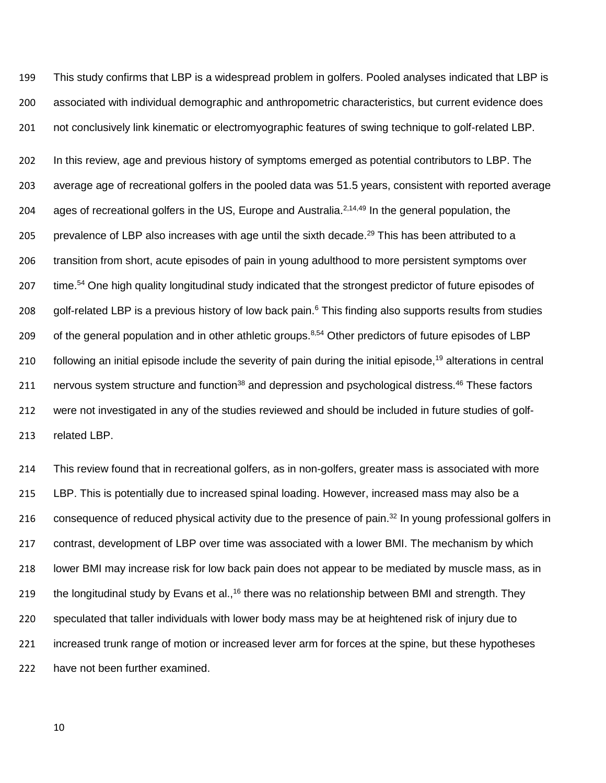199 This study confirms that LBP is a widespread problem in golfers. Pooled analyses indicated that LBP is 200 associated with individual demographic and anthropometric characteristics, but current evidence does 201 not conclusively link kinematic or electromyographic features of swing technique to golf-related LBP.

202 In this review, age and previous history of symptoms emerged as potential contributors to LBP. The 203 average age of recreational golfers in the pooled data was 51.5 years, consistent with reported average 204 ages of recreational golfers in the US, Europe and Australia.<sup>2,14,49</sup> In the general population, the 205 prevalence of LBP also increases with age until the sixth decade.<sup>29</sup> This has been attributed to a 206 transition from short, acute episodes of pain in young adulthood to more persistent symptoms over 207 time.<sup>54</sup> One high quality longitudinal study indicated that the strongest predictor of future episodes of 208 golf-related LBP is a previous history of low back pain.<sup>6</sup> This finding also supports results from studies 209 of the general population and in other athletic groups. $8,54$  Other predictors of future episodes of LBP 210 following an initial episode include the severity of pain during the initial episode,<sup>19</sup> alterations in central 211 nervous system structure and function<sup>38</sup> and depression and psychological distress.<sup>46</sup> These factors 212 were not investigated in any of the studies reviewed and should be included in future studies of golf-213 related LBP.

 This review found that in recreational golfers, as in non-golfers, greater mass is associated with more LBP. This is potentially due to increased spinal loading. However, increased mass may also be a 216 consequence of reduced physical activity due to the presence of pain.<sup>32</sup> In young professional golfers in 217 contrast, development of LBP over time was associated with a lower BMI. The mechanism by which lower BMI may increase risk for low back pain does not appear to be mediated by muscle mass, as in 219 the longitudinal study by Evans et al.,<sup>16</sup> there was no relationship between BMI and strength. They speculated that taller individuals with lower body mass may be at heightened risk of injury due to increased trunk range of motion or increased lever arm for forces at the spine, but these hypotheses have not been further examined.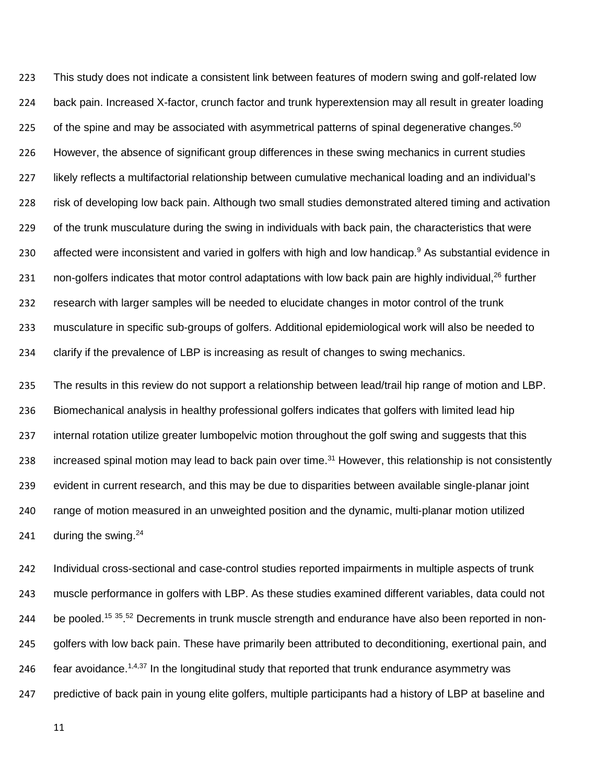This study does not indicate a consistent link between features of modern swing and golf-related low back pain. Increased X-factor, crunch factor and trunk hyperextension may all result in greater loading 225 of the spine and may be associated with asymmetrical patterns of spinal degenerative changes.<sup>50</sup> However, the absence of significant group differences in these swing mechanics in current studies likely reflects a multifactorial relationship between cumulative mechanical loading and an individual's risk of developing low back pain. Although two small studies demonstrated altered timing and activation 229 of the trunk musculature during the swing in individuals with back pain, the characteristics that were 230 affected were inconsistent and varied in golfers with high and low handicap.<sup>9</sup> As substantial evidence in 231 non-golfers indicates that motor control adaptations with low back pain are highly individual,<sup>26</sup> further research with larger samples will be needed to elucidate changes in motor control of the trunk musculature in specific sub-groups of golfers. Additional epidemiological work will also be needed to clarify if the prevalence of LBP is increasing as result of changes to swing mechanics.

 The results in this review do not support a relationship between lead/trail hip range of motion and LBP. Biomechanical analysis in healthy professional golfers indicates that golfers with limited lead hip internal rotation utilize greater lumbopelvic motion throughout the golf swing and suggests that this 238 increased spinal motion may lead to back pain over time.<sup>31</sup> However, this relationship is not consistently evident in current research, and this may be due to disparities between available single-planar joint range of motion measured in an unweighted position and the dynamic, multi-planar motion utilized 241 during the swing.

 Individual cross-sectional and case-control studies reported impairments in multiple aspects of trunk muscle performance in golfers with LBP. As these studies examined different variables, data could not 244 be pooled.<sup>15 35</sup>.<sup>52</sup> Decrements in trunk muscle strength and endurance have also been reported in non-245 golfers with low back pain. These have primarily been attributed to deconditioning, exertional pain, and 246 fear avoidance.<sup>1,4,37</sup> In the longitudinal study that reported that trunk endurance asymmetry was predictive of back pain in young elite golfers, multiple participants had a history of LBP at baseline and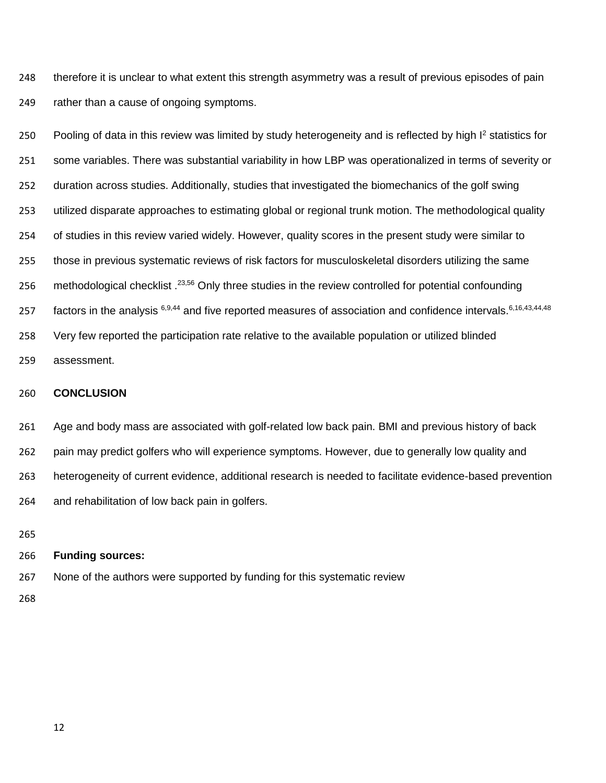therefore it is unclear to what extent this strength asymmetry was a result of previous episodes of pain rather than a cause of ongoing symptoms.

250 Pooling of data in this review was limited by study heterogeneity and is reflected by high I<sup>2</sup> statistics for some variables. There was substantial variability in how LBP was operationalized in terms of severity or duration across studies. Additionally, studies that investigated the biomechanics of the golf swing utilized disparate approaches to estimating global or regional trunk motion. The methodological quality of studies in this review varied widely. However, quality scores in the present study were similar to those in previous systematic reviews of risk factors for musculoskeletal disorders utilizing the same 256 methodological checklist . <sup>23,56</sup> Only three studies in the review controlled for potential confounding 257 factors in the analysis <sup>6,9,44</sup> and five reported measures of association and confidence intervals. <sup>6,16,43,44,48</sup> Very few reported the participation rate relative to the available population or utilized blinded assessment.

#### **CONCLUSION**

 Age and body mass are associated with golf-related low back pain. BMI and previous history of back pain may predict golfers who will experience symptoms. However, due to generally low quality and heterogeneity of current evidence, additional research is needed to facilitate evidence-based prevention and rehabilitation of low back pain in golfers.

#### **Funding sources:**

None of the authors were supported by funding for this systematic review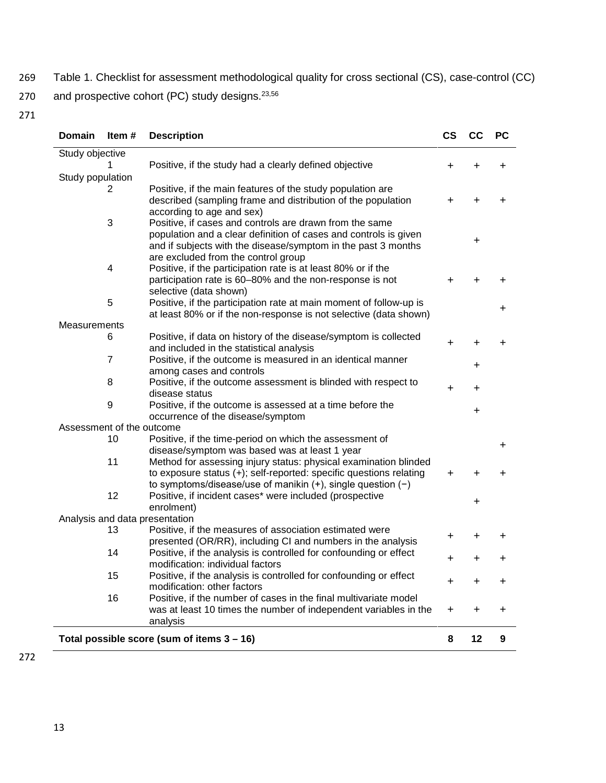269 Table 1. Checklist for assessment methodological quality for cross sectional (CS), case-control (CC) 270 and prospective cohort (PC) study designs.<sup>23,56</sup>

| <b>Domain</b>             | Item#          | <b>Description</b>                                                                                                                     | <b>CS</b> | CC | <b>PC</b> |
|---------------------------|----------------|----------------------------------------------------------------------------------------------------------------------------------------|-----------|----|-----------|
| Study objective           |                |                                                                                                                                        |           |    |           |
|                           |                | Positive, if the study had a clearly defined objective                                                                                 | +         | +  | +         |
| Study population          |                |                                                                                                                                        |           |    |           |
|                           | 2              | Positive, if the main features of the study population are                                                                             |           |    |           |
|                           |                | described (sampling frame and distribution of the population                                                                           | +         | +  | +         |
|                           |                | according to age and sex)                                                                                                              |           |    |           |
|                           | 3              | Positive, if cases and controls are drawn from the same                                                                                |           |    |           |
|                           |                | population and a clear definition of cases and controls is given                                                                       |           |    |           |
|                           |                | and if subjects with the disease/symptom in the past 3 months                                                                          |           | +  |           |
|                           |                | are excluded from the control group                                                                                                    |           |    |           |
|                           | 4              | Positive, if the participation rate is at least 80% or if the                                                                          |           |    |           |
|                           |                | participation rate is 60-80% and the non-response is not                                                                               | +         |    | ٠         |
|                           |                | selective (data shown)                                                                                                                 |           |    |           |
|                           | 5              | Positive, if the participation rate at main moment of follow-up is                                                                     |           |    | +         |
|                           |                | at least 80% or if the non-response is not selective (data shown)                                                                      |           |    |           |
| Measurements              |                |                                                                                                                                        |           |    |           |
|                           | 6              | Positive, if data on history of the disease/symptom is collected                                                                       | $\ddot{}$ | +  | +         |
|                           |                | and included in the statistical analysis                                                                                               |           |    |           |
|                           | $\overline{7}$ | Positive, if the outcome is measured in an identical manner                                                                            |           | +  |           |
|                           |                | among cases and controls                                                                                                               |           |    |           |
|                           | 8              | Positive, if the outcome assessment is blinded with respect to                                                                         | $\ddot{}$ | +  |           |
|                           |                | disease status                                                                                                                         |           |    |           |
|                           | 9              | Positive, if the outcome is assessed at a time before the                                                                              |           | +  |           |
|                           |                | occurrence of the disease/symptom                                                                                                      |           |    |           |
| Assessment of the outcome |                |                                                                                                                                        |           |    |           |
|                           | 10             | Positive, if the time-period on which the assessment of                                                                                |           |    | +         |
|                           | 11             | disease/symptom was based was at least 1 year                                                                                          |           |    |           |
|                           |                | Method for assessing injury status: physical examination blinded                                                                       |           |    |           |
|                           |                | to exposure status (+); self-reported: specific questions relating<br>to symptoms/disease/use of manikin $(+)$ , single question $(-)$ | $\div$    |    |           |
|                           | 12             | Positive, if incident cases* were included (prospective                                                                                |           |    |           |
|                           |                | enrolment)                                                                                                                             |           | +  |           |
|                           |                | Analysis and data presentation                                                                                                         |           |    |           |
|                           | 13             | Positive, if the measures of association estimated were                                                                                |           |    |           |
|                           |                | presented (OR/RR), including CI and numbers in the analysis                                                                            | +         | +  | +         |
|                           | 14             | Positive, if the analysis is controlled for confounding or effect                                                                      |           |    |           |
|                           |                | modification: individual factors                                                                                                       | +         | +  | +         |
|                           | 15             | Positive, if the analysis is controlled for confounding or effect                                                                      |           |    |           |
|                           |                | modification: other factors                                                                                                            | +         | +  | +         |
|                           | 16             | Positive, if the number of cases in the final multivariate model                                                                       |           |    |           |
|                           |                | was at least 10 times the number of independent variables in the                                                                       | $\ddot{}$ | +  | $\ddot{}$ |
|                           |                | analysis                                                                                                                               |           |    |           |
|                           |                |                                                                                                                                        |           |    |           |
|                           |                | Total possible score (sum of items 3 - 16)                                                                                             | 8         | 12 | 9         |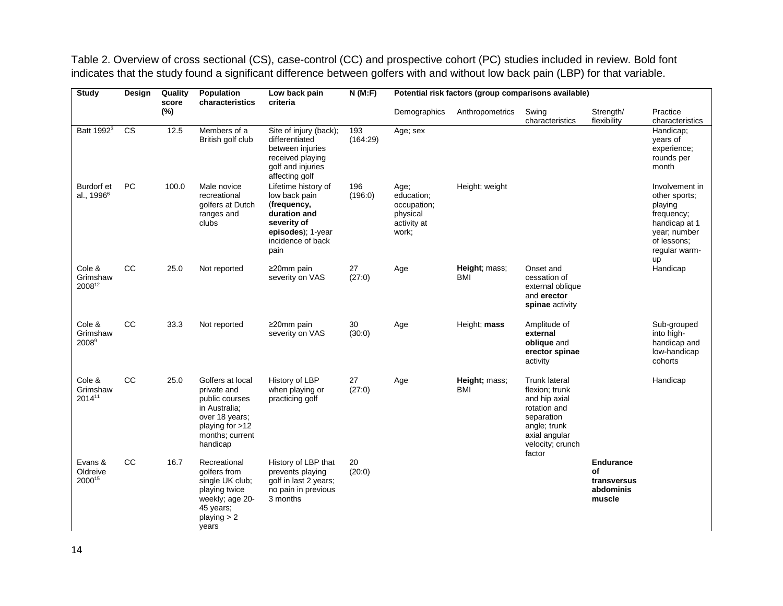Table 2. Overview of cross sectional (CS), case-control (CC) and prospective cohort (PC) studies included in review. Bold font indicates that the study found a significant difference between golfers with and without low back pain (LBP) for that variable.

| <b>Study</b>                                | Design                 | Quality<br>score | Population<br>characteristics                                                                                                          | Low back pain<br>criteria                                                                                                            | N(M:F)          | Potential risk factors (group comparisons available)                  |                      |                                                                                                                                               |                                                              |                                                                                                                                 |
|---------------------------------------------|------------------------|------------------|----------------------------------------------------------------------------------------------------------------------------------------|--------------------------------------------------------------------------------------------------------------------------------------|-----------------|-----------------------------------------------------------------------|----------------------|-----------------------------------------------------------------------------------------------------------------------------------------------|--------------------------------------------------------------|---------------------------------------------------------------------------------------------------------------------------------|
|                                             |                        | (%)              |                                                                                                                                        |                                                                                                                                      |                 | Demographics                                                          | Anthropometrics      | Swing<br>characteristics                                                                                                                      | Strength/<br>flexibility                                     | Practice<br>characteristics                                                                                                     |
| Batt 1992 <sup>3</sup>                      | $\overline{\text{cs}}$ | 12.5             | Members of a<br>British golf club                                                                                                      | Site of injury (back);<br>differentiated<br>between injuries<br>received playing<br>golf and injuries<br>affecting golf              | 193<br>(164:29) | Age; sex                                                              |                      |                                                                                                                                               |                                                              | Handicap;<br>years of<br>experience;<br>rounds per<br>month                                                                     |
| <b>Burdorf</b> et<br>al., 1996 <sup>6</sup> | PC                     | 100.0            | Male novice<br>recreational<br>golfers at Dutch<br>ranges and<br>clubs                                                                 | Lifetime history of<br>low back pain<br>(frequency,<br>duration and<br>severity of<br>episodes); 1-year<br>incidence of back<br>pain | 196<br>(196:0)  | Age;<br>education;<br>occupation;<br>physical<br>activity at<br>work; | Height; weight       |                                                                                                                                               |                                                              | Involvement in<br>other sports;<br>playing<br>frequency;<br>handicap at 1<br>year; number<br>of lessons;<br>regular warm-<br>up |
| Cole &<br>Grimshaw<br>200812                | CC                     | 25.0             | Not reported                                                                                                                           | ≥20mm pain<br>severity on VAS                                                                                                        | 27<br>(27:0)    | Age                                                                   | Height; mass;<br>BMI | Onset and<br>cessation of<br>external oblique<br>and erector<br>spinae activity                                                               |                                                              | Handicap                                                                                                                        |
| Cole &<br>Grimshaw<br>2008 <sup>9</sup>     | <b>CC</b>              | 33.3             | Not reported                                                                                                                           | ≥20mm pain<br>severity on VAS                                                                                                        | 30<br>(30:0)    | Age                                                                   | Height; mass         | Amplitude of<br>external<br>oblique and<br>erector spinae<br>activity                                                                         |                                                              | Sub-grouped<br>into high-<br>handicap and<br>low-handicap<br>cohorts                                                            |
| Cole &<br>Grimshaw<br>201411                | CC                     | 25.0             | Golfers at local<br>private and<br>public courses<br>in Australia;<br>over 18 years;<br>playing for >12<br>months; current<br>handicap | History of LBP<br>when playing or<br>practicing golf                                                                                 | 27<br>(27:0)    | Age                                                                   | Height; mass;<br>BMI | Trunk lateral<br>flexion; trunk<br>and hip axial<br>rotation and<br>separation<br>angle; trunk<br>axial angular<br>velocity; crunch<br>factor |                                                              | Handicap                                                                                                                        |
| Evans &<br>Oldreive<br>200015               | CC                     | 16.7             | Recreational<br>golfers from<br>single UK club;<br>playing twice<br>weekly; age 20-<br>45 years;<br>playing $> 2$<br>years             | History of LBP that<br>prevents playing<br>golf in last 2 years;<br>no pain in previous<br>3 months                                  | 20<br>(20:0)    |                                                                       |                      |                                                                                                                                               | <b>Endurance</b><br>of<br>transversus<br>abdominis<br>muscle |                                                                                                                                 |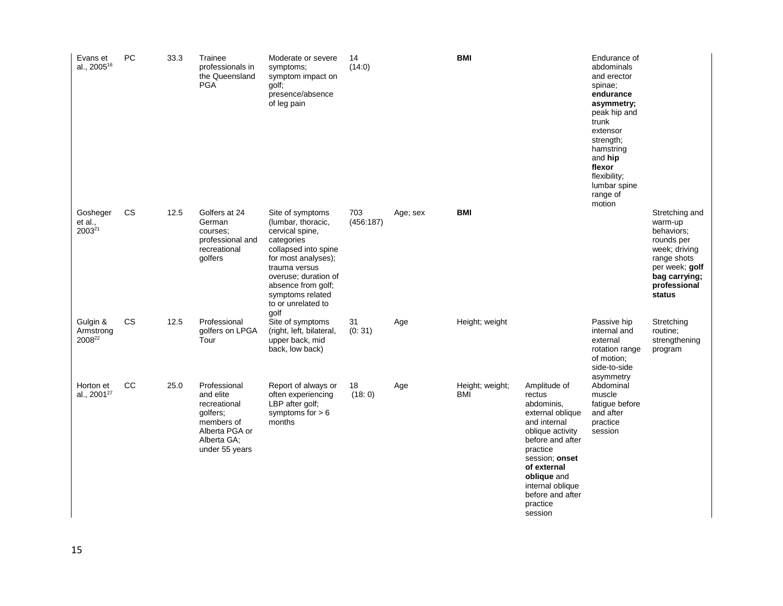| Evans et<br>al., 2005 <sup>16</sup>       | PC        | 33.3 | Trainee<br>professionals in<br>the Queensland<br><b>PGA</b>                                                            | Moderate or severe<br>symptoms;<br>symptom impact on<br>golf;<br>presence/absence<br>of leg pain                                                                                                                                        | 14<br>(14:0)     |          | <b>BMI</b>             |                                                                                                                                                                                                                                             | Endurance of<br>abdominals<br>and erector<br>spinae;<br>endurance<br>asymmetry;<br>peak hip and<br>trunk<br>extensor<br>strength;<br>hamstring<br>and hip<br>flexor<br>flexibility;<br>lumbar spine<br>range of<br>motion |                                                                                                                                                    |
|-------------------------------------------|-----------|------|------------------------------------------------------------------------------------------------------------------------|-----------------------------------------------------------------------------------------------------------------------------------------------------------------------------------------------------------------------------------------|------------------|----------|------------------------|---------------------------------------------------------------------------------------------------------------------------------------------------------------------------------------------------------------------------------------------|---------------------------------------------------------------------------------------------------------------------------------------------------------------------------------------------------------------------------|----------------------------------------------------------------------------------------------------------------------------------------------------|
| Gosheger<br>et al.,<br>2003 <sup>21</sup> | <b>CS</b> | 12.5 | Golfers at 24<br>German<br>courses;<br>professional and<br>recreational<br>golfers                                     | Site of symptoms<br>(lumbar, thoracic,<br>cervical spine,<br>categories<br>collapsed into spine<br>for most analyses);<br>trauma versus<br>overuse; duration of<br>absence from golf;<br>symptoms related<br>to or unrelated to<br>qolf | 703<br>(456:187) | Age; sex | <b>BMI</b>             |                                                                                                                                                                                                                                             |                                                                                                                                                                                                                           | Stretching and<br>warm-up<br>behaviors;<br>rounds per<br>week; driving<br>range shots<br>per week; golf<br>bag carrying;<br>professional<br>status |
| Gulgin &<br>Armstrong<br>200822           | CS        | 12.5 | Professional<br>golfers on LPGA<br>Tour                                                                                | Site of symptoms<br>(right, left, bilateral,<br>upper back, mid<br>back, low back)                                                                                                                                                      | 31<br>(0:31)     | Age      | Height; weight         |                                                                                                                                                                                                                                             | Passive hip<br>internal and<br>external<br>rotation range<br>of motion;<br>side-to-side<br>asymmetry                                                                                                                      | Stretching<br>routine:<br>strengthening<br>program                                                                                                 |
| Horton et<br>al., 2001 <sup>27</sup>      | CC        | 25.0 | Professional<br>and elite<br>recreational<br>golfers;<br>members of<br>Alberta PGA or<br>Alberta GA;<br>under 55 years | Report of always or<br>often experiencing<br>LBP after golf;<br>symptoms for $> 6$<br>months                                                                                                                                            | 18<br>(18:0)     | Age      | Height; weight;<br>BMI | Amplitude of<br>rectus<br>abdominis,<br>external oblique<br>and internal<br>oblique activity<br>before and after<br>practice<br>session; onset<br>of external<br>oblique and<br>internal oblique<br>before and after<br>practice<br>session | Abdominal<br>muscle<br>fatigue before<br>and after<br>practice<br>session                                                                                                                                                 |                                                                                                                                                    |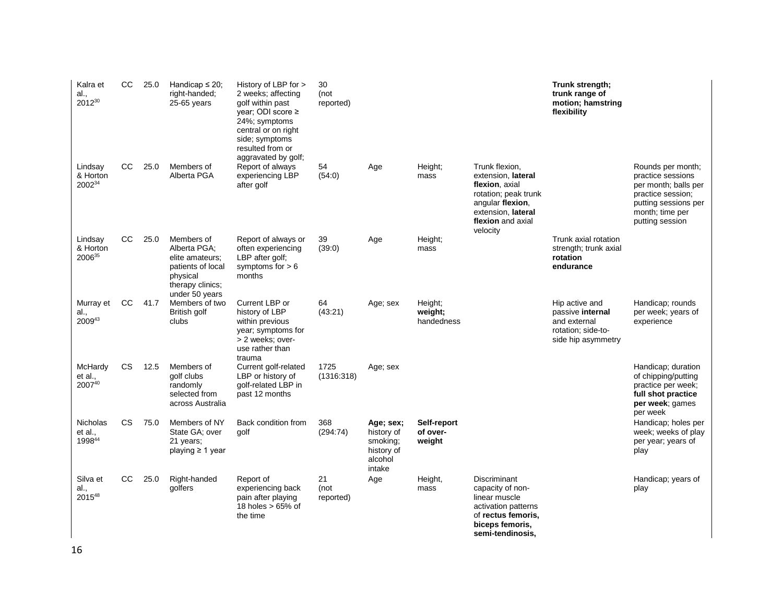| Kalra et<br>al.,<br>201230    | <sub>CC</sub> | 25.0 | Handicap $\leq$ 20;<br>right-handed;<br>25-65 years                                                                  | History of LBP for ><br>2 weeks; affecting<br>golf within past<br>year; ODI score $\ge$<br>24%; symptoms<br>central or on right<br>side; symptoms<br>resulted from or<br>aggravated by golf; | 30<br>(not<br>reported) |                                                                        |                                   |                                                                                                                                                           | Trunk strength;<br>trunk range of<br>motion; hamstring<br>flexibility                          |                                                                                                                                                   |
|-------------------------------|---------------|------|----------------------------------------------------------------------------------------------------------------------|----------------------------------------------------------------------------------------------------------------------------------------------------------------------------------------------|-------------------------|------------------------------------------------------------------------|-----------------------------------|-----------------------------------------------------------------------------------------------------------------------------------------------------------|------------------------------------------------------------------------------------------------|---------------------------------------------------------------------------------------------------------------------------------------------------|
| Lindsay<br>& Horton<br>200234 | <sub>CC</sub> | 25.0 | Members of<br>Alberta PGA                                                                                            | Report of always<br>experiencing LBP<br>after golf                                                                                                                                           | 54<br>(54:0)            | Age                                                                    | Height;<br>mass                   | Trunk flexion,<br>extension, lateral<br>flexion, axial<br>rotation; peak trunk<br>angular flexion,<br>extension, lateral<br>flexion and axial<br>velocity |                                                                                                | Rounds per month;<br>practice sessions<br>per month; balls per<br>practice session;<br>putting sessions per<br>month; time per<br>putting session |
| Lindsay<br>& Horton<br>200635 | <sub>CC</sub> | 25.0 | Members of<br>Alberta PGA;<br>elite amateurs;<br>patients of local<br>physical<br>therapy clinics;<br>under 50 years | Report of always or<br>often experiencing<br>LBP after golf;<br>symptoms for $> 6$<br>months                                                                                                 | 39<br>(39:0)            | Age                                                                    | Height;<br>mass                   |                                                                                                                                                           | Trunk axial rotation<br>strength; trunk axial<br>rotation<br>endurance                         |                                                                                                                                                   |
| Murray et<br>al.,<br>200943   | CC            | 41.7 | Members of two<br>British golf<br>clubs                                                                              | Current LBP or<br>history of LBP<br>within previous<br>year; symptoms for<br>> 2 weeks; over-<br>use rather than<br>trauma                                                                   | 64<br>(43:21)           | Age; sex                                                               | Height;<br>weight;<br>handedness  |                                                                                                                                                           | Hip active and<br>passive internal<br>and external<br>rotation; side-to-<br>side hip asymmetry | Handicap; rounds<br>per week; years of<br>experience                                                                                              |
| McHardy<br>et al.,<br>200740  | <b>CS</b>     | 12.5 | Members of<br>golf clubs<br>randomly<br>selected from<br>across Australia                                            | Current golf-related<br>LBP or history of<br>golf-related LBP in<br>past 12 months                                                                                                           | 1725<br>(1316:318)      | Age; sex                                                               |                                   |                                                                                                                                                           |                                                                                                | Handicap; duration<br>of chipping/putting<br>practice per week;<br>full shot practice<br>per week; games<br>per week                              |
| Nicholas<br>et al.,<br>199844 | <b>CS</b>     | 75.0 | Members of NY<br>State GA; over<br>21 years;<br>playing $\geq 1$ year                                                | Back condition from<br>golf                                                                                                                                                                  | 368<br>(294:74)         | Age; sex;<br>history of<br>smoking;<br>history of<br>alcohol<br>intake | Self-report<br>of over-<br>weight |                                                                                                                                                           |                                                                                                | Handicap; holes per<br>week; weeks of play<br>per year; years of<br>play                                                                          |
| Silva et<br>al.,<br>201548    | CC            | 25.0 | Right-handed<br>golfers                                                                                              | Report of<br>experiencing back<br>pain after playing<br>18 holes $> 65\%$ of<br>the time                                                                                                     | 21<br>(not<br>reported) | Age                                                                    | Height,<br>mass                   | Discriminant<br>capacity of non-<br>linear muscle<br>activation patterns<br>of rectus femoris,<br>biceps femoris,<br>semi-tendinosis,                     |                                                                                                | Handicap; years of<br>play                                                                                                                        |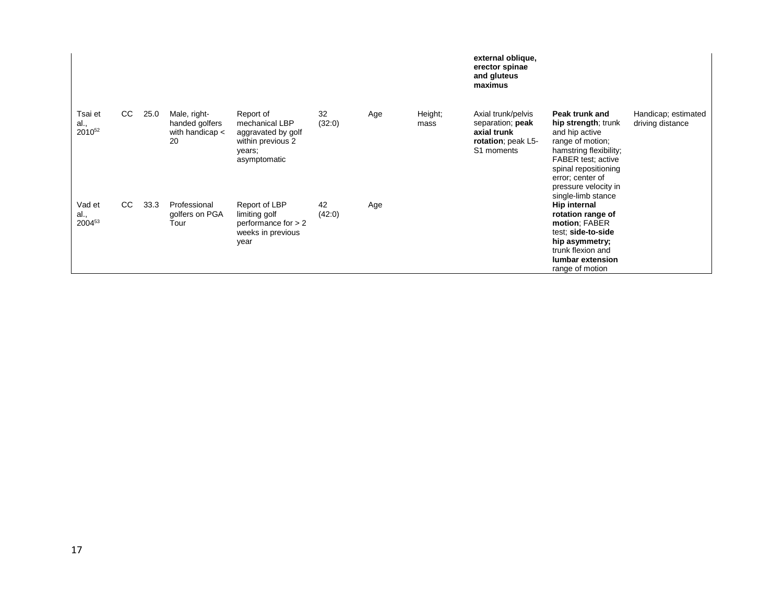|                                       |    |      |                                                         |                                                                                                  |              |     |                 | external oblique,<br>erector spinae<br>and gluteus<br>maximus                             |                                                                                                                                                                                                                       |                                         |
|---------------------------------------|----|------|---------------------------------------------------------|--------------------------------------------------------------------------------------------------|--------------|-----|-----------------|-------------------------------------------------------------------------------------------|-----------------------------------------------------------------------------------------------------------------------------------------------------------------------------------------------------------------------|-----------------------------------------|
| Tsai et<br>al.,<br>2010 <sup>52</sup> | CC | 25.0 | Male, right-<br>handed golfers<br>with handicap <<br>20 | Report of<br>mechanical LBP<br>aggravated by golf<br>within previous 2<br>years;<br>asymptomatic | 32<br>(32:0) | Age | Height;<br>mass | Axial trunk/pelvis<br>separation; peak<br>axial trunk<br>rotation; peak L5-<br>S1 moments | Peak trunk and<br>hip strength; trunk<br>and hip active<br>range of motion;<br>hamstring flexibility;<br>FABER test; active<br>spinal repositioning<br>error; center of<br>pressure velocity in<br>single-limb stance | Handicap; estimated<br>driving distance |
| Vad et<br>al.,<br>200453              | CC | 33.3 | Professional<br>golfers on PGA<br>Tour                  | Report of LBP<br>limiting golf<br>performance for $> 2$<br>weeks in previous<br>year             | 42<br>(42:0) | Age |                 |                                                                                           | Hip internal<br>rotation range of<br>motion; FABER<br>test; side-to-side<br>hip asymmetry;<br>trunk flexion and<br>lumbar extension<br>range of motion                                                                |                                         |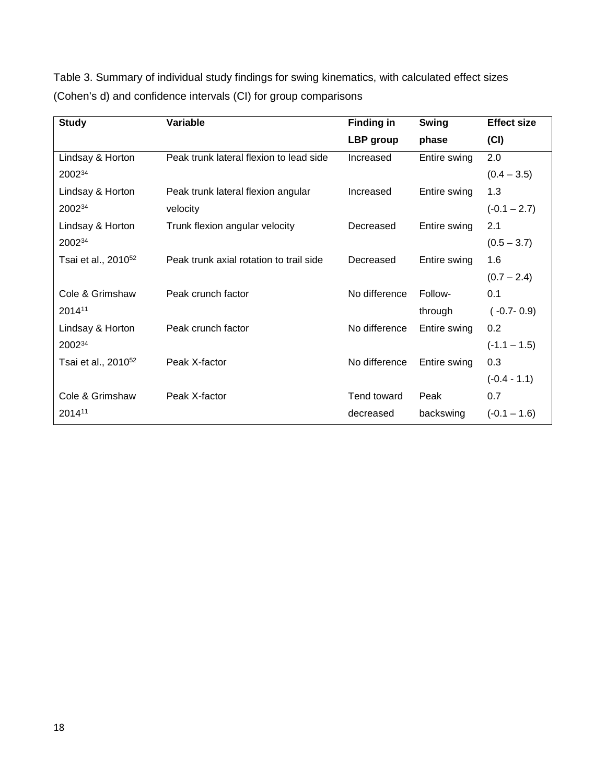| <b>Study</b>                    | Variable                                | <b>Finding in</b>  | <b>Swing</b> | <b>Effect size</b> |
|---------------------------------|-----------------------------------------|--------------------|--------------|--------------------|
|                                 |                                         | LBP group          | phase        | (CI)               |
| Lindsay & Horton                | Peak trunk lateral flexion to lead side | Increased          | Entire swing | 2.0                |
| 200234                          |                                         |                    |              | $(0.4 - 3.5)$      |
| Lindsay & Horton                | Peak trunk lateral flexion angular      | Increased          | Entire swing | 1.3                |
| 200234                          | velocity                                |                    |              | $(-0.1 - 2.7)$     |
| Lindsay & Horton                | Trunk flexion angular velocity          | Decreased          | Entire swing | 2.1                |
| 200234                          |                                         |                    |              | $(0.5 - 3.7)$      |
| Tsai et al., 2010 <sup>52</sup> | Peak trunk axial rotation to trail side | Decreased          | Entire swing | 1.6                |
|                                 |                                         |                    |              | $(0.7 - 2.4)$      |
| Cole & Grimshaw                 | Peak crunch factor                      | No difference      | Follow-      | 0.1                |
| 201411                          |                                         |                    | through      | $(-0.7 - 0.9)$     |
| Lindsay & Horton                | Peak crunch factor                      | No difference      | Entire swing | 0.2                |
| 200234                          |                                         |                    |              | $(-1.1 - 1.5)$     |
| Tsai et al., 2010 <sup>52</sup> | Peak X-factor                           | No difference      | Entire swing | 0.3                |
|                                 |                                         |                    |              | $(-0.4 - 1.1)$     |
| Cole & Grimshaw                 | Peak X-factor                           | <b>Tend toward</b> | Peak         | 0.7                |
| 201411                          |                                         | decreased          | backswing    | $(-0.1 - 1.6)$     |

Table 3. Summary of individual study findings for swing kinematics, with calculated effect sizes (Cohen's d) and confidence intervals (CI) for group comparisons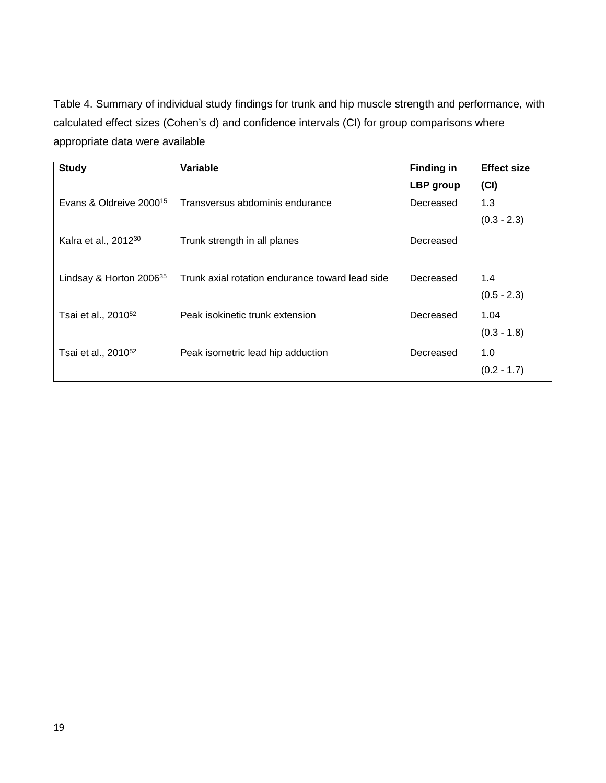Table 4. Summary of individual study findings for trunk and hip muscle strength and performance, with calculated effect sizes (Cohen's d) and confidence intervals (CI) for group comparisons where appropriate data were available

| <b>Study</b>                        | Variable                                        | <b>Finding in</b> | <b>Effect size</b>   |
|-------------------------------------|-------------------------------------------------|-------------------|----------------------|
|                                     |                                                 | LBP group         | (CI)                 |
| Evans & Oldreive 2000 <sup>15</sup> | Transversus abdominis endurance                 | Decreased         | 1.3                  |
|                                     |                                                 |                   | $(0.3 - 2.3)$        |
| Kalra et al., 2012 <sup>30</sup>    | Trunk strength in all planes                    | Decreased         |                      |
| Lindsay & Horton 2006 <sup>35</sup> | Trunk axial rotation endurance toward lead side | Decreased         | 1.4<br>$(0.5 - 2.3)$ |
| Tsai et al., 2010 <sup>52</sup>     | Peak isokinetic trunk extension                 | Decreased         | 1.04                 |
|                                     |                                                 |                   | $(0.3 - 1.8)$        |
| Tsai et al., 2010 <sup>52</sup>     | Peak isometric lead hip adduction               | Decreased         | 1.0                  |
|                                     |                                                 |                   | $(0.2 - 1.7)$        |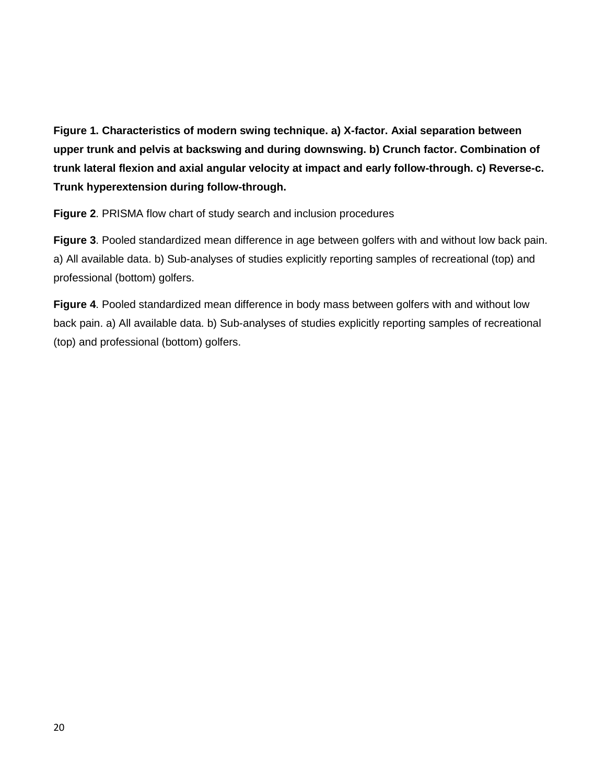**Figure 1. Characteristics of modern swing technique. a) X-factor. Axial separation between upper trunk and pelvis at backswing and during downswing. b) Crunch factor. Combination of trunk lateral flexion and axial angular velocity at impact and early follow-through. c) Reverse-c. Trunk hyperextension during follow-through.**

**Figure 2**. PRISMA flow chart of study search and inclusion procedures

**Figure 3**. Pooled standardized mean difference in age between golfers with and without low back pain. a) All available data. b) Sub-analyses of studies explicitly reporting samples of recreational (top) and professional (bottom) golfers.

**Figure 4**. Pooled standardized mean difference in body mass between golfers with and without low back pain. a) All available data. b) Sub-analyses of studies explicitly reporting samples of recreational (top) and professional (bottom) golfers.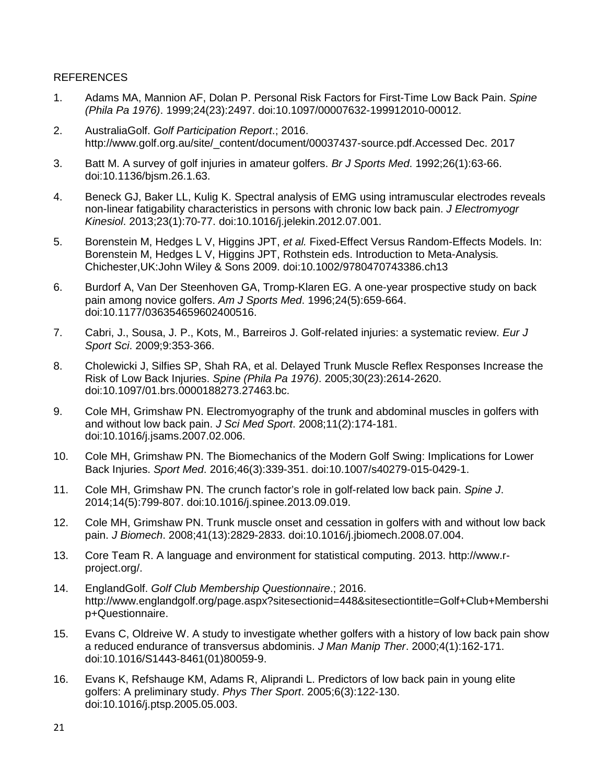#### REFERENCES

- 1. Adams MA, Mannion AF, Dolan P. Personal Risk Factors for First-Time Low Back Pain. *Spine (Phila Pa 1976)*. 1999;24(23):2497. doi:10.1097/00007632-199912010-00012.
- 2. AustraliaGolf. *Golf Participation Report*.; 2016. http://www.golf.org.au/site/\_content/document/00037437-source.pdf.Accessed Dec. 2017
- 3. Batt M. A survey of golf injuries in amateur golfers. *Br J Sports Med*. 1992;26(1):63-66. doi:10.1136/bjsm.26.1.63.
- 4. Beneck GJ, Baker LL, Kulig K. Spectral analysis of EMG using intramuscular electrodes reveals non-linear fatigability characteristics in persons with chronic low back pain. *J Electromyogr Kinesiol*. 2013;23(1):70-77. doi:10.1016/j.jelekin.2012.07.001.
- 5. Borenstein M, Hedges L V, Higgins JPT, *et al.* Fixed-Effect Versus Random-Effects Models. In: Borenstein M, Hedges L V, Higgins JPT, Rothstein eds. Introduction to Meta-Analysis*.*  Chichester,UK:John Wiley & Sons 2009. doi:10.1002/9780470743386.ch13
- 6. Burdorf A, Van Der Steenhoven GA, Tromp-Klaren EG. A one-year prospective study on back pain among novice golfers. *Am J Sports Med*. 1996;24(5):659-664. doi:10.1177/036354659602400516.
- 7. Cabri, J., Sousa, J. P., Kots, M., Barreiros J. Golf-related injuries: a systematic review. *Eur J Sport Sci*. 2009;9:353-366.
- 8. Cholewicki J, Silfies SP, Shah RA, et al. Delayed Trunk Muscle Reflex Responses Increase the Risk of Low Back Injuries. *Spine (Phila Pa 1976)*. 2005;30(23):2614-2620. doi:10.1097/01.brs.0000188273.27463.bc.
- 9. Cole MH, Grimshaw PN. Electromyography of the trunk and abdominal muscles in golfers with and without low back pain. *J Sci Med Sport*. 2008;11(2):174-181. doi:10.1016/j.jsams.2007.02.006.
- 10. Cole MH, Grimshaw PN. The Biomechanics of the Modern Golf Swing: Implications for Lower Back Injuries. *Sport Med*. 2016;46(3):339-351. doi:10.1007/s40279-015-0429-1.
- 11. Cole MH, Grimshaw PN. The crunch factor's role in golf-related low back pain. *Spine J*. 2014;14(5):799-807. doi:10.1016/j.spinee.2013.09.019.
- 12. Cole MH, Grimshaw PN. Trunk muscle onset and cessation in golfers with and without low back pain. *J Biomech*. 2008;41(13):2829-2833. doi:10.1016/j.jbiomech.2008.07.004.
- 13. Core Team R. A language and environment for statistical computing. 2013. http://www.rproject.org/.
- 14. EnglandGolf. *Golf Club Membership Questionnaire*.; 2016. http://www.englandgolf.org/page.aspx?sitesectionid=448&sitesectiontitle=Golf+Club+Membershi p+Questionnaire.
- 15. Evans C, Oldreive W. A study to investigate whether golfers with a history of low back pain show a reduced endurance of transversus abdominis. *J Man Manip Ther*. 2000;4(1):162-171. doi:10.1016/S1443-8461(01)80059-9.
- 16. Evans K, Refshauge KM, Adams R, Aliprandi L. Predictors of low back pain in young elite golfers: A preliminary study. *Phys Ther Sport*. 2005;6(3):122-130. doi:10.1016/j.ptsp.2005.05.003.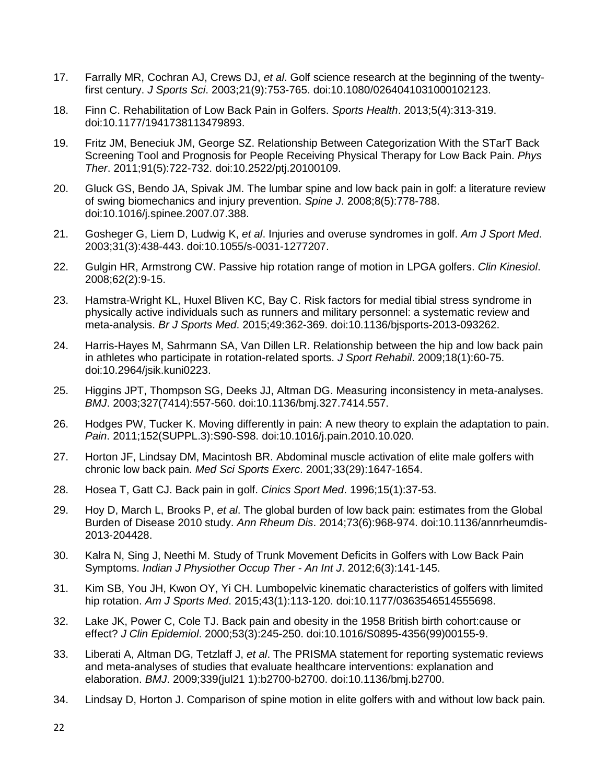- 17. Farrally MR, Cochran AJ, Crews DJ, *et al*. Golf science research at the beginning of the twentyfirst century. *J Sports Sci*. 2003;21(9):753-765. doi:10.1080/0264041031000102123.
- 18. Finn C. Rehabilitation of Low Back Pain in Golfers. *Sports Health*. 2013;5(4):313-319. doi:10.1177/1941738113479893.
- 19. Fritz JM, Beneciuk JM, George SZ. Relationship Between Categorization With the STarT Back Screening Tool and Prognosis for People Receiving Physical Therapy for Low Back Pain. *Phys Ther*. 2011;91(5):722-732. doi:10.2522/ptj.20100109.
- 20. Gluck GS, Bendo JA, Spivak JM. The lumbar spine and low back pain in golf: a literature review of swing biomechanics and injury prevention. *Spine J*. 2008;8(5):778-788. doi:10.1016/j.spinee.2007.07.388.
- 21. Gosheger G, Liem D, Ludwig K, *et al*. Injuries and overuse syndromes in golf. *Am J Sport Med*. 2003;31(3):438-443. doi:10.1055/s-0031-1277207.
- 22. Gulgin HR, Armstrong CW. Passive hip rotation range of motion in LPGA golfers. *Clin Kinesiol*. 2008;62(2):9-15.
- 23. Hamstra-Wright KL, Huxel Bliven KC, Bay C. Risk factors for medial tibial stress syndrome in physically active individuals such as runners and military personnel: a systematic review and meta-analysis. *Br J Sports Med*. 2015;49:362-369. doi:10.1136/bjsports-2013-093262.
- 24. Harris-Hayes M, Sahrmann SA, Van Dillen LR. Relationship between the hip and low back pain in athletes who participate in rotation-related sports. *J Sport Rehabil*. 2009;18(1):60-75. doi:10.2964/jsik.kuni0223.
- 25. Higgins JPT, Thompson SG, Deeks JJ, Altman DG. Measuring inconsistency in meta-analyses. *BMJ*. 2003;327(7414):557-560. doi:10.1136/bmj.327.7414.557.
- 26. Hodges PW, Tucker K. Moving differently in pain: A new theory to explain the adaptation to pain. *Pain*. 2011;152(SUPPL.3):S90-S98. doi:10.1016/j.pain.2010.10.020.
- 27. Horton JF, Lindsay DM, Macintosh BR. Abdominal muscle activation of elite male golfers with chronic low back pain. *Med Sci Sports Exerc*. 2001;33(29):1647-1654.
- 28. Hosea T, Gatt CJ. Back pain in golf. *Cinics Sport Med*. 1996;15(1):37-53.
- 29. Hoy D, March L, Brooks P, *et al*. The global burden of low back pain: estimates from the Global Burden of Disease 2010 study. *Ann Rheum Dis*. 2014;73(6):968-974. doi:10.1136/annrheumdis-2013-204428.
- 30. Kalra N, Sing J, Neethi M. Study of Trunk Movement Deficits in Golfers with Low Back Pain Symptoms. *Indian J Physiother Occup Ther - An Int J*. 2012;6(3):141-145.
- 31. Kim SB, You JH, Kwon OY, Yi CH. Lumbopelvic kinematic characteristics of golfers with limited hip rotation. *Am J Sports Med*. 2015;43(1):113-120. doi:10.1177/0363546514555698.
- 32. Lake JK, Power C, Cole TJ. Back pain and obesity in the 1958 British birth cohort:cause or effect? *J Clin Epidemiol*. 2000;53(3):245-250. doi:10.1016/S0895-4356(99)00155-9.
- 33. Liberati A, Altman DG, Tetzlaff J, *et al*. The PRISMA statement for reporting systematic reviews and meta-analyses of studies that evaluate healthcare interventions: explanation and elaboration. *BMJ*. 2009;339(jul21 1):b2700-b2700. doi:10.1136/bmj.b2700.
- 34. Lindsay D, Horton J. Comparison of spine motion in elite golfers with and without low back pain.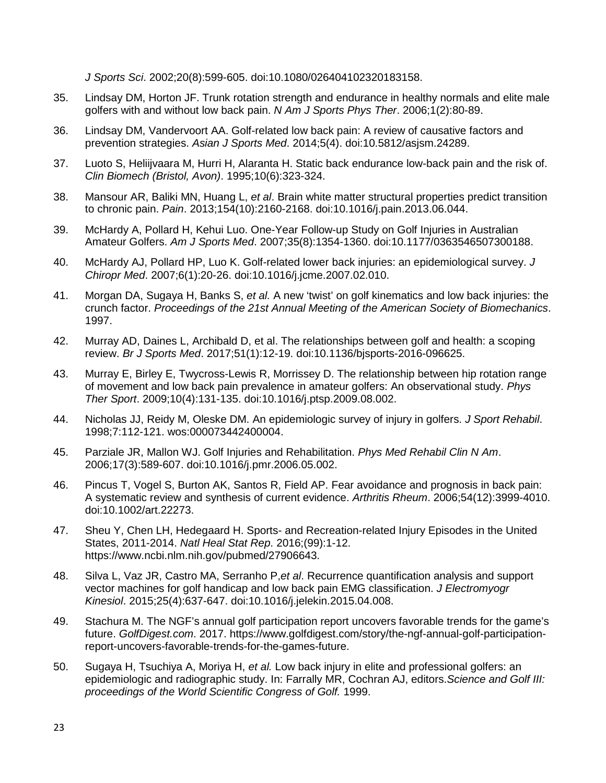*J Sports Sci*. 2002;20(8):599-605. doi:10.1080/026404102320183158.

- 35. Lindsay DM, Horton JF. Trunk rotation strength and endurance in healthy normals and elite male golfers with and without low back pain. *N Am J Sports Phys Ther*. 2006;1(2):80-89.
- 36. Lindsay DM, Vandervoort AA. Golf-related low back pain: A review of causative factors and prevention strategies. *Asian J Sports Med*. 2014;5(4). doi:10.5812/asjsm.24289.
- 37. Luoto S, Heliijvaara M, Hurri H, Alaranta H. Static back endurance low-back pain and the risk of. *Clin Biomech (Bristol, Avon)*. 1995;10(6):323-324.
- 38. Mansour AR, Baliki MN, Huang L, *et al*. Brain white matter structural properties predict transition to chronic pain. *Pain*. 2013;154(10):2160-2168. doi:10.1016/j.pain.2013.06.044.
- 39. McHardy A, Pollard H, Kehui Luo. One-Year Follow-up Study on Golf Injuries in Australian Amateur Golfers. *Am J Sports Med*. 2007;35(8):1354-1360. doi:10.1177/0363546507300188.
- 40. McHardy AJ, Pollard HP, Luo K. Golf-related lower back injuries: an epidemiological survey. *J Chiropr Med*. 2007;6(1):20-26. doi:10.1016/j.jcme.2007.02.010.
- 41. Morgan DA, Sugaya H, Banks S, *et al.* A new 'twist' on golf kinematics and low back injuries: the crunch factor. *Proceedings of the 21st Annual Meeting of the American Society of Biomechanics*. 1997.
- 42. Murray AD, Daines L, Archibald D, et al. The relationships between golf and health: a scoping review. *Br J Sports Med*. 2017;51(1):12-19. doi:10.1136/bjsports-2016-096625.
- 43. Murray E, Birley E, Twycross-Lewis R, Morrissey D. The relationship between hip rotation range of movement and low back pain prevalence in amateur golfers: An observational study. *Phys Ther Sport*. 2009;10(4):131-135. doi:10.1016/j.ptsp.2009.08.002.
- 44. Nicholas JJ, Reidy M, Oleske DM. An epidemiologic survey of injury in golfers. *J Sport Rehabil*. 1998;7:112-121. wos:000073442400004.
- 45. Parziale JR, Mallon WJ. Golf Injuries and Rehabilitation. *Phys Med Rehabil Clin N Am*. 2006;17(3):589-607. doi:10.1016/j.pmr.2006.05.002.
- 46. Pincus T, Vogel S, Burton AK, Santos R, Field AP. Fear avoidance and prognosis in back pain: A systematic review and synthesis of current evidence. *Arthritis Rheum*. 2006;54(12):3999-4010. doi:10.1002/art.22273.
- 47. Sheu Y, Chen LH, Hedegaard H. Sports- and Recreation-related Injury Episodes in the United States, 2011-2014. *Natl Heal Stat Rep*. 2016;(99):1-12. https://www.ncbi.nlm.nih.gov/pubmed/27906643.
- 48. Silva L, Vaz JR, Castro MA, Serranho P,*et al*. Recurrence quantification analysis and support vector machines for golf handicap and low back pain EMG classification. *J Electromyogr Kinesiol*. 2015;25(4):637-647. doi:10.1016/j.jelekin.2015.04.008.
- 49. Stachura M. The NGF's annual golf participation report uncovers favorable trends for the game's future. *GolfDigest.com*. 2017. https://www.golfdigest.com/story/the-ngf-annual-golf-participationreport-uncovers-favorable-trends-for-the-games-future.
- 50. Sugaya H, Tsuchiya A, Moriya H, *et al.* Low back injury in elite and professional golfers: an epidemiologic and radiographic study. In: Farrally MR, Cochran AJ, editors.*Science and Golf III: proceedings of the World Scientific Congress of Golf.* 1999.